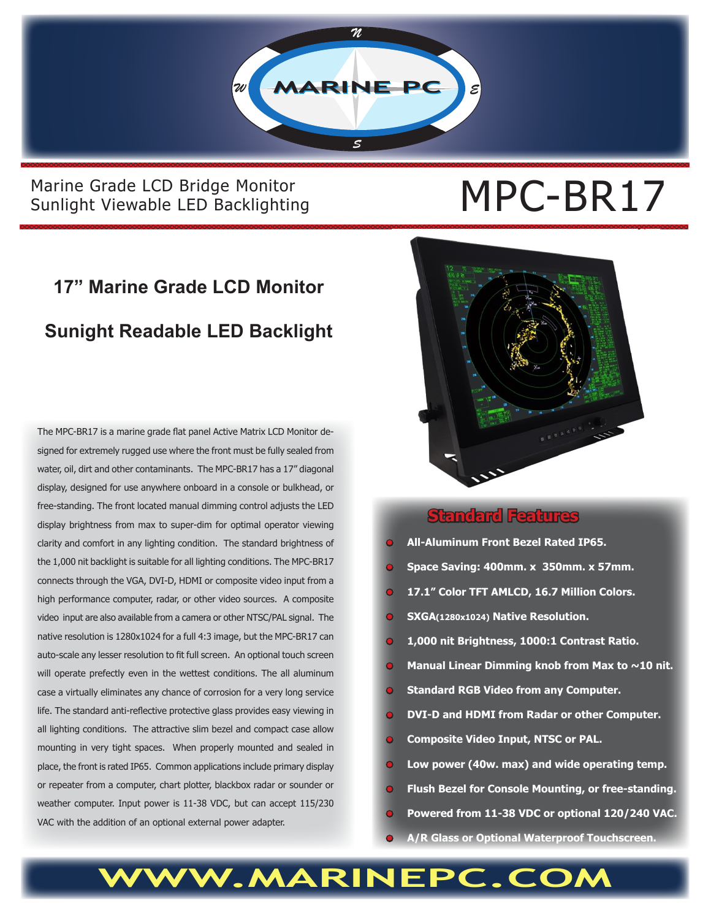

### Marine Grade LCD Bridge Monitor<br>Sunlight Viewable LED Backlighting<br> **MPC-BR17** Sunlight Viewable LED Backlighting

### **17" Marine Grade LCD Monitor Sunight Readable LED Backlight**

The MPC-BR17 is a marine grade flat panel Active Matrix LCD Monitor designed for extremely rugged use where the front must be fully sealed from water, oil, dirt and other contaminants. The MPC-BR17 has a 17" diagonal display, designed for use anywhere onboard in a console or bulkhead, or free-standing. The front located manual dimming control adjusts the LED display brightness from max to super-dim for optimal operator viewing clarity and comfort in any lighting condition. The standard brightness of the 1,000 nit backlight is suitable for all lighting conditions. The MPC-BR17 connects through the VGA, DVI-D, HDMI or composite video input from a high performance computer, radar, or other video sources. A composite video input are also available from a camera or other NTSC/PAL signal. The native resolution is 1280x1024 for a full 4:3 image, but the MPC-BR17 can auto-scale any lesser resolution to fit full screen. An optional touch screen will operate prefectly even in the wettest conditions. The all aluminum case a virtually eliminates any chance of corrosion for a very long service life. The standard anti-reflective protective glass provides easy viewing in all lighting conditions. The attractive slim bezel and compact case allow mounting in very tight spaces. When properly mounted and sealed in place, the front is rated IP65. Common applications include primary display or repeater from a computer, chart plotter, blackbox radar or sounder or weather computer. Input power is 11-38 VDC, but can accept 115/230 VAC with the addition of an optional external power adapter.



#### **Standard Features**

- **• All-Aluminum Front Bezel Rated IP65.**
- **• Space Saving: 400mm. x 350mm. x 57mm.**
- **• 17.1" Color TFT AMLCD, 16.7 Million Colors.**
- **• SXGA(1280x1024) Native Resolution.**
- **1,000 nit Brightness, 1000:1 Contrast Ratio.**
- **Manual Linear Dimming knob from Max to ~10 nit.**
- **• Standard RGB Video from any Computer.**
- **• DVI-D and HDMI from Radar or other Computer.**
- **• Composite Video Input, NTSC or PAL.**
- **• Low power (40w. max) and wide operating temp.**
- **• Flush Bezel for Console Mounting, or free-standing.**
- **• Powered from 11-38 VDC or optional 120/240 VAC.**
- **• A/R Glass or Optional Waterproof Touchscreen.**

## WWW.MARINEPC.CO